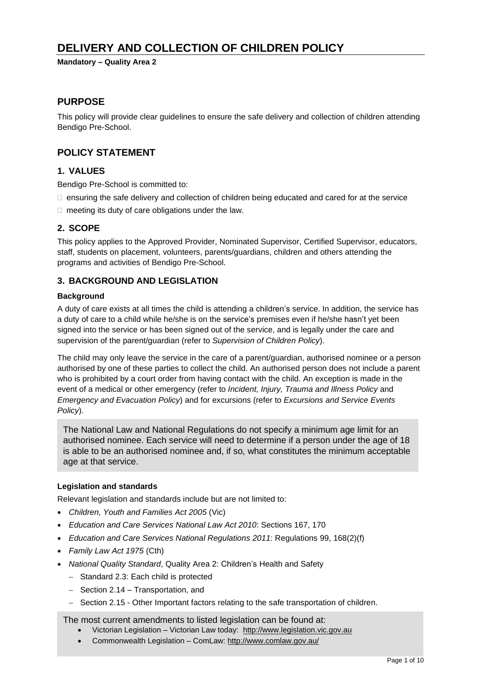# **DELIVERY AND COLLECTION OF CHILDREN POLICY**

**Mandatory – Quality Area 2**

### **PURPOSE**

This policy will provide clear guidelines to ensure the safe delivery and collection of children attending Bendigo Pre-School.

## **POLICY STATEMENT**

#### **1. VALUES**

Bendigo Pre-School is committed to:

- $\Box$  ensuring the safe delivery and collection of children being educated and cared for at the service
- $\Box$  meeting its duty of care obligations under the law.

### **2. SCOPE**

This policy applies to the Approved Provider, Nominated Supervisor, Certified Supervisor, educators, staff, students on placement, volunteers, parents/guardians, children and others attending the programs and activities of Bendigo Pre-School.

#### **3. BACKGROUND AND LEGISLATION**

#### **Background**

A duty of care exists at all times the child is attending a children's service. In addition, the service has a duty of care to a child while he/she is on the service's premises even if he/she hasn't yet been signed into the service or has been signed out of the service, and is legally under the care and supervision of the parent/guardian (refer to *Supervision of Children Policy*).

The child may only leave the service in the care of a parent/guardian, authorised nominee or a person authorised by one of these parties to collect the child. An authorised person does not include a parent who is prohibited by a court order from having contact with the child. An exception is made in the event of a medical or other emergency (refer to *Incident, Injury, Trauma and Illness Policy* and *Emergency and Evacuation Policy*) and for excursions (refer to *Excursions and Service Events Policy*).

The National Law and National Regulations do not specify a minimum age limit for an authorised nominee. Each service will need to determine if a person under the age of 18 is able to be an authorised nominee and, if so, what constitutes the minimum acceptable age at that service.

#### **Legislation and standards**

Relevant legislation and standards include but are not limited to:

- *Children, Youth and Families Act 2005* (Vic)
- *Education and Care Services National Law Act 2010*: Sections 167, 170
- *Education and Care Services National Regulations 2011*: Regulations 99, 168(2)(f)
- *Family Law Act 1975* (Cth)
- *National Quality Standard*, Quality Area 2: Children's Health and Safety
	- − Standard 2.3: Each child is protected
	- − Section 2.14 Transportation, and
	- − Section 2.15 Other Important factors relating to the safe transportation of children.

The most current amendments to listed legislation can be found at:

- Victorian Legislation Victorian Law today: [http://www.legislation.vic.gov.au](http://www.legislation.vic.gov.au/)
- Commonwealth Legislation ComLaw:<http://www.comlaw.gov.au/>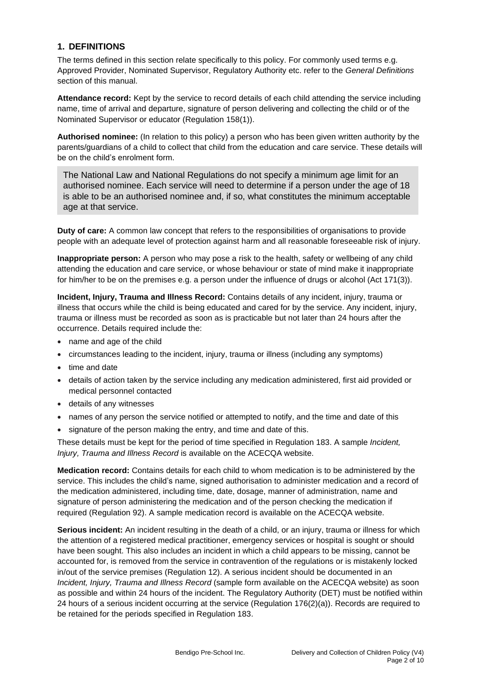#### **1. DEFINITIONS**

The terms defined in this section relate specifically to this policy. For commonly used terms e.g. Approved Provider, Nominated Supervisor, Regulatory Authority etc. refer to the *General Definitions* section of this manual.

**Attendance record:** Kept by the service to record details of each child attending the service including name, time of arrival and departure, signature of person delivering and collecting the child or of the Nominated Supervisor or educator (Regulation 158(1)).

**Authorised nominee:** (In relation to this policy) a person who has been given written authority by the parents/guardians of a child to collect that child from the education and care service. These details will be on the child's enrolment form.

The National Law and National Regulations do not specify a minimum age limit for an authorised nominee. Each service will need to determine if a person under the age of 18 is able to be an authorised nominee and, if so, what constitutes the minimum acceptable age at that service.

**Duty of care:** A common law concept that refers to the responsibilities of organisations to provide people with an adequate level of protection against harm and all reasonable foreseeable risk of injury.

**Inappropriate person:** A person who may pose a risk to the health, safety or wellbeing of any child attending the education and care service, or whose behaviour or state of mind make it inappropriate for him/her to be on the premises e.g. a person under the influence of drugs or alcohol (Act 171(3)).

**Incident, Injury, Trauma and Illness Record:** Contains details of any incident, injury, trauma or illness that occurs while the child is being educated and cared for by the service. Any incident, injury, trauma or illness must be recorded as soon as is practicable but not later than 24 hours after the occurrence. Details required include the:

- name and age of the child
- circumstances leading to the incident, injury, trauma or illness (including any symptoms)
- time and date
- details of action taken by the service including any medication administered, first aid provided or medical personnel contacted
- details of any witnesses
- names of any person the service notified or attempted to notify, and the time and date of this
- signature of the person making the entry, and time and date of this.

These details must be kept for the period of time specified in Regulation 183. A sample *Incident, Injury, Trauma and Illness Record* is available on the ACECQA website.

**Medication record:** Contains details for each child to whom medication is to be administered by the service. This includes the child's name, signed authorisation to administer medication and a record of the medication administered, including time, date, dosage, manner of administration, name and signature of person administering the medication and of the person checking the medication if required (Regulation 92). A sample medication record is available on the ACECQA website.

**Serious incident:** An incident resulting in the death of a child, or an injury, trauma or illness for which the attention of a registered medical practitioner, emergency services or hospital is sought or should have been sought. This also includes an incident in which a child appears to be missing, cannot be accounted for, is removed from the service in contravention of the regulations or is mistakenly locked in/out of the service premises (Regulation 12). A serious incident should be documented in an *Incident, Injury, Trauma and Illness Record* (sample form available on the ACECQA website) as soon as possible and within 24 hours of the incident. The Regulatory Authority (DET) must be notified within 24 hours of a serious incident occurring at the service (Regulation 176(2)(a)). Records are required to be retained for the periods specified in Regulation 183.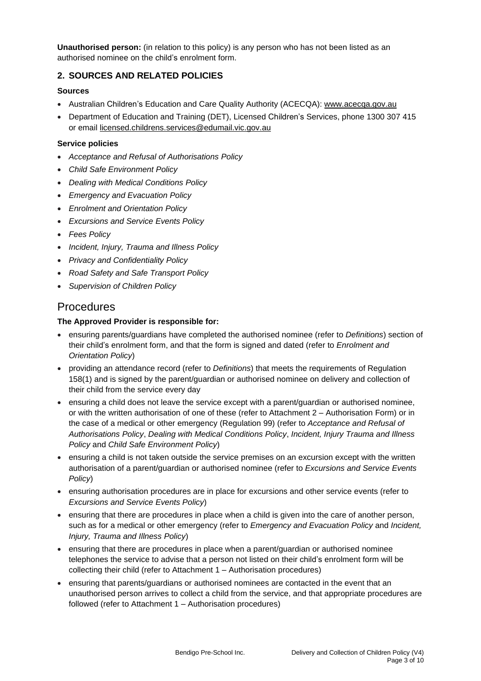**Unauthorised person:** (in relation to this policy) is any person who has not been listed as an authorised nominee on the child's enrolment form.

## **2. SOURCES AND RELATED POLICIES**

#### **Sources**

- Australian Children's Education and Care Quality Authority (ACECQA): [www.acecqa.gov.au](http://www.acecqa.gov.au/)
- Department of Education and Training (DET), Licensed Children's Services, phone 1300 307 415 or email [licensed.childrens.services@edumail.vic.gov.au](mailto:licensed.childrens.services@edumail.vic.gov.au)

#### **Service policies**

- *Acceptance and Refusal of Authorisations Policy*
- *Child Safe Environment Policy*
- *Dealing with Medical Conditions Policy*
- *Emergency and Evacuation Policy*
- *Enrolment and Orientation Policy*
- *Excursions and Service Events Policy*
- *Fees Policy*
- *Incident, Injury, Trauma and Illness Policy*
- *Privacy and Confidentiality Policy*
- *Road Safety and Safe Transport Policy*
- *Supervision of Children Policy*

# Procedures

#### **The Approved Provider is responsible for:**

- ensuring parents/guardians have completed the authorised nominee (refer to *Definitions*) section of their child's enrolment form, and that the form is signed and dated (refer to *Enrolment and Orientation Policy*)
- providing an attendance record (refer to *Definitions*) that meets the requirements of Regulation 158(1) and is signed by the parent/guardian or authorised nominee on delivery and collection of their child from the service every day
- ensuring a child does not leave the service except with a parent/guardian or authorised nominee, or with the written authorisation of one of these (refer to Attachment 2 – Authorisation Form) or in the case of a medical or other emergency (Regulation 99) (refer to *Acceptance and Refusal of Authorisations Policy*, *Dealing with Medical Conditions Policy*, *Incident, Injury Trauma and Illness Policy* and *Child Safe Environment Policy*)
- ensuring a child is not taken outside the service premises on an excursion except with the written authorisation of a parent/guardian or authorised nominee (refer to *Excursions and Service Events Policy*)
- ensuring authorisation procedures are in place for excursions and other service events (refer to *Excursions and Service Events Policy*)
- ensuring that there are procedures in place when a child is given into the care of another person, such as for a medical or other emergency (refer to *Emergency and Evacuation Policy* and *Incident, Injury, Trauma and Illness Policy*)
- ensuring that there are procedures in place when a parent/guardian or authorised nominee telephones the service to advise that a person not listed on their child's enrolment form will be collecting their child (refer to Attachment 1 – Authorisation procedures)
- ensuring that parents/guardians or authorised nominees are contacted in the event that an unauthorised person arrives to collect a child from the service, and that appropriate procedures are followed (refer to Attachment 1 – Authorisation procedures)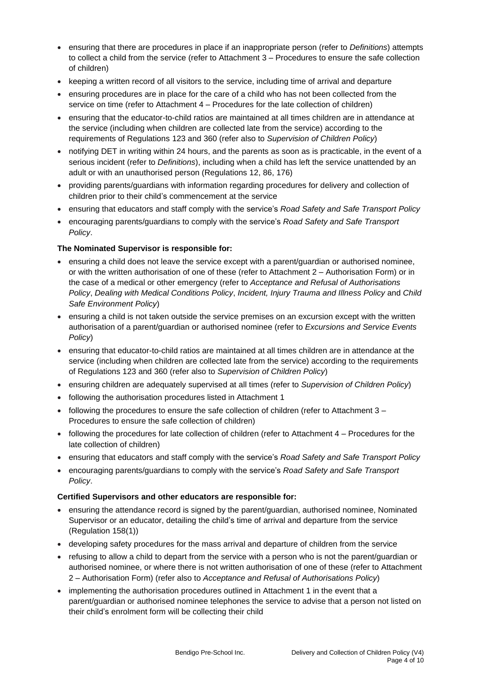- ensuring that there are procedures in place if an inappropriate person (refer to *Definitions*) attempts to collect a child from the service (refer to Attachment 3 – Procedures to ensure the safe collection of children)
- keeping a written record of all visitors to the service, including time of arrival and departure
- ensuring procedures are in place for the care of a child who has not been collected from the service on time (refer to Attachment 4 – Procedures for the late collection of children)
- ensuring that the educator-to-child ratios are maintained at all times children are in attendance at the service (including when children are collected late from the service) according to the requirements of Regulations 123 and 360 (refer also to *Supervision of Children Policy*)
- notifying DET in writing within 24 hours, and the parents as soon as is practicable, in the event of a serious incident (refer to *Definitions*), including when a child has left the service unattended by an adult or with an unauthorised person (Regulations 12, 86, 176)
- providing parents/guardians with information regarding procedures for delivery and collection of children prior to their child's commencement at the service
- ensuring that educators and staff comply with the service's *Road Safety and Safe Transport Policy*
- encouraging parents/guardians to comply with the service's *Road Safety and Safe Transport Policy*.

### **The Nominated Supervisor is responsible for:**

- ensuring a child does not leave the service except with a parent/guardian or authorised nominee, or with the written authorisation of one of these (refer to Attachment 2 – Authorisation Form) or in the case of a medical or other emergency (refer to *Acceptance and Refusal of Authorisations Policy*, *Dealing with Medical Conditions Policy*, *Incident, Injury Trauma and Illness Policy* and *Child Safe Environment Policy*)
- ensuring a child is not taken outside the service premises on an excursion except with the written authorisation of a parent/guardian or authorised nominee (refer to *Excursions and Service Events Policy*)
- ensuring that educator-to-child ratios are maintained at all times children are in attendance at the service (including when children are collected late from the service) according to the requirements of Regulations 123 and 360 (refer also to *Supervision of Children Policy*)
- ensuring children are adequately supervised at all times (refer to *Supervision of Children Policy*)
- following the authorisation procedures listed in Attachment 1
- following the procedures to ensure the safe collection of children (refer to Attachment 3 Procedures to ensure the safe collection of children)
- following the procedures for late collection of children (refer to Attachment 4 Procedures for the late collection of children)
- ensuring that educators and staff comply with the service's *Road Safety and Safe Transport Policy*
- encouraging parents/guardians to comply with the service's *Road Safety and Safe Transport Policy*.

#### **Certified Supervisors and other educators are responsible for:**

- ensuring the attendance record is signed by the parent/guardian, authorised nominee, Nominated Supervisor or an educator, detailing the child's time of arrival and departure from the service (Regulation 158(1))
- developing safety procedures for the mass arrival and departure of children from the service
- refusing to allow a child to depart from the service with a person who is not the parent/guardian or authorised nominee, or where there is not written authorisation of one of these (refer to Attachment 2 – Authorisation Form) (refer also to *Acceptance and Refusal of Authorisations Policy*)
- implementing the authorisation procedures outlined in Attachment 1 in the event that a parent/guardian or authorised nominee telephones the service to advise that a person not listed on their child's enrolment form will be collecting their child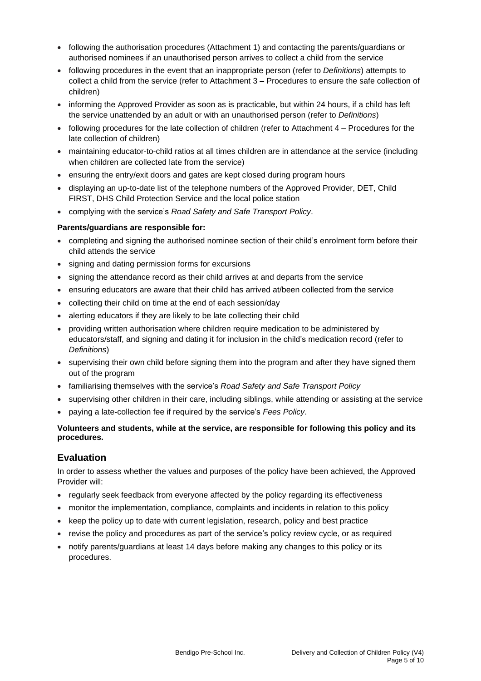- following the authorisation procedures (Attachment 1) and contacting the parents/guardians or authorised nominees if an unauthorised person arrives to collect a child from the service
- following procedures in the event that an inappropriate person (refer to *Definitions*) attempts to collect a child from the service (refer to Attachment 3 – Procedures to ensure the safe collection of children)
- informing the Approved Provider as soon as is practicable, but within 24 hours, if a child has left the service unattended by an adult or with an unauthorised person (refer to *Definitions*)
- following procedures for the late collection of children (refer to Attachment 4 Procedures for the late collection of children)
- maintaining educator-to-child ratios at all times children are in attendance at the service (including when children are collected late from the service)
- ensuring the entry/exit doors and gates are kept closed during program hours
- displaying an up-to-date list of the telephone numbers of the Approved Provider, DET, Child FIRST, DHS Child Protection Service and the local police station
- complying with the service's *Road Safety and Safe Transport Policy*.

#### **Parents/guardians are responsible for:**

- completing and signing the authorised nominee section of their child's enrolment form before their child attends the service
- signing and dating permission forms for excursions
- signing the attendance record as their child arrives at and departs from the service
- ensuring educators are aware that their child has arrived at/been collected from the service
- collecting their child on time at the end of each session/day
- alerting educators if they are likely to be late collecting their child
- providing written authorisation where children require medication to be administered by educators/staff, and signing and dating it for inclusion in the child's medication record (refer to *Definitions*)
- supervising their own child before signing them into the program and after they have signed them out of the program
- familiarising themselves with the service's *Road Safety and Safe Transport Policy*
- supervising other children in their care, including siblings, while attending or assisting at the service
- paying a late-collection fee if required by the service's *Fees Policy*.

#### **Volunteers and students, while at the service, are responsible for following this policy and its procedures.**

## **Evaluation**

In order to assess whether the values and purposes of the policy have been achieved, the Approved Provider will:

- regularly seek feedback from everyone affected by the policy regarding its effectiveness
- monitor the implementation, compliance, complaints and incidents in relation to this policy
- keep the policy up to date with current legislation, research, policy and best practice
- revise the policy and procedures as part of the service's policy review cycle, or as required
- notify parents/guardians at least 14 days before making any changes to this policy or its procedures.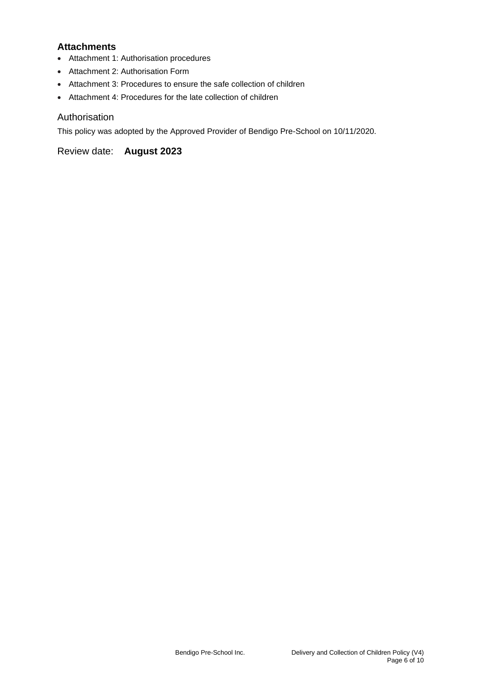## **Attachments**

- Attachment 1: Authorisation procedures
- Attachment 2: Authorisation Form
- Attachment 3: Procedures to ensure the safe collection of children
- Attachment 4: Procedures for the late collection of children

### Authorisation

This policy was adopted by the Approved Provider of Bendigo Pre-School on 10/11/2020.

Review date: **August 2023**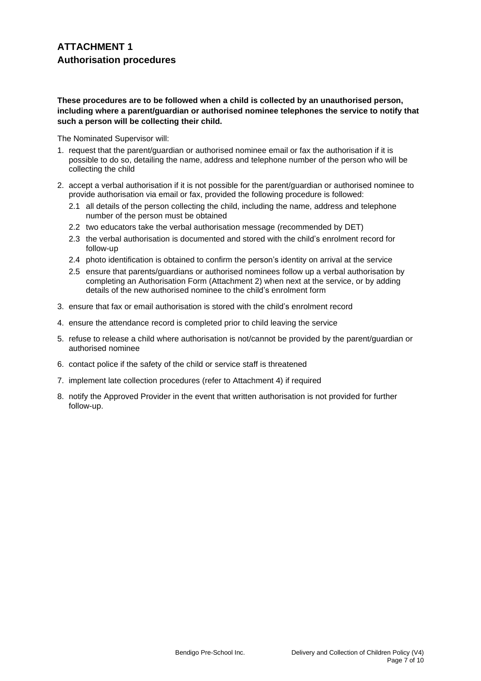#### **These procedures are to be followed when a child is collected by an unauthorised person, including where a parent/guardian or authorised nominee telephones the service to notify that such a person will be collecting their child.**

The Nominated Supervisor will:

- 1. request that the parent/guardian or authorised nominee email or fax the authorisation if it is possible to do so, detailing the name, address and telephone number of the person who will be collecting the child
- 2. accept a verbal authorisation if it is not possible for the parent/guardian or authorised nominee to provide authorisation via email or fax, provided the following procedure is followed:
	- 2.1 all details of the person collecting the child, including the name, address and telephone number of the person must be obtained
	- 2.2 two educators take the verbal authorisation message (recommended by DET)
	- 2.3 the verbal authorisation is documented and stored with the child's enrolment record for follow-up
	- 2.4 photo identification is obtained to confirm the person's identity on arrival at the service
	- 2.5 ensure that parents/guardians or authorised nominees follow up a verbal authorisation by completing an Authorisation Form (Attachment 2) when next at the service, or by adding details of the new authorised nominee to the child's enrolment form
- 3. ensure that fax or email authorisation is stored with the child's enrolment record
- 4. ensure the attendance record is completed prior to child leaving the service
- 5. refuse to release a child where authorisation is not/cannot be provided by the parent/guardian or authorised nominee
- 6. contact police if the safety of the child or service staff is threatened
- 7. implement late collection procedures (refer to Attachment 4) if required
- 8. notify the Approved Provider in the event that written authorisation is not provided for further follow-up.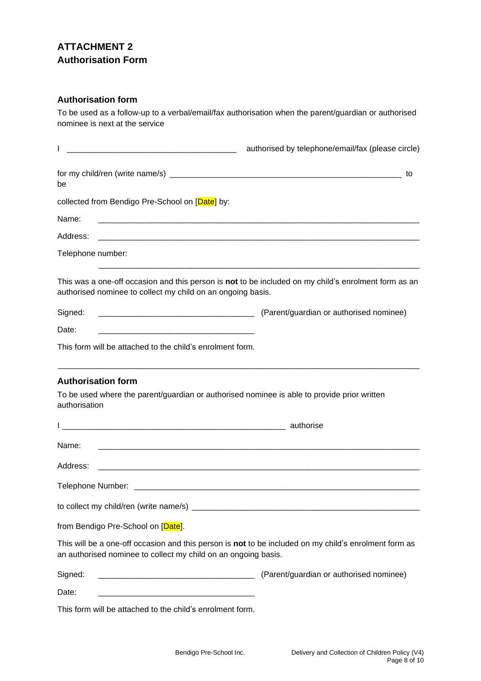# **ATTACHMENT 2 Authorisation Form**

## **Authorisation form**

To be used as a follow-up to a verbal/email/fax authorisation when the parent/guardian or authorised nominee is next at the service

|                                                                                                                                                                         | authorised by telephone/email/fax (please circle) |
|-------------------------------------------------------------------------------------------------------------------------------------------------------------------------|---------------------------------------------------|
| be                                                                                                                                                                      |                                                   |
| collected from Bendigo Pre-School on [Date] by:                                                                                                                         |                                                   |
| Name:                                                                                                                                                                   |                                                   |
| Address:                                                                                                                                                                |                                                   |
| Telephone number:                                                                                                                                                       |                                                   |
| This was a one-off occasion and this person is not to be included on my child's enrolment form as an<br>authorised nominee to collect my child on an ongoing basis.     |                                                   |
| Signed:                                                                                                                                                                 |                                                   |
| Date:<br><u> 1980 - Johann Barbara, margaret eta biztanleria (h. 1980).</u>                                                                                             |                                                   |
| This form will be attached to the child's enrolment form.                                                                                                               |                                                   |
| <b>Authorisation form</b><br>To be used where the parent/guardian or authorised nominee is able to provide prior written<br>authorisation                               |                                                   |
|                                                                                                                                                                         |                                                   |
| Name:                                                                                                                                                                   |                                                   |
| Address:                                                                                                                                                                |                                                   |
|                                                                                                                                                                         |                                                   |
| to collect my child/ren (write name/s)                                                                                                                                  |                                                   |
| from Bendigo Pre-School on [Date].                                                                                                                                      |                                                   |
| This will be a one-off occasion and this person is not to be included on my child's enrolment form as<br>an authorised nominee to collect my child on an ongoing basis. |                                                   |
| Signed:<br><u> 2000 - Jan James James James James James James James James James James James James James James James James J</u>                                         | (Parent/guardian or authorised nominee)           |
| Date:                                                                                                                                                                   |                                                   |
| This form will be attached to the child's enrolment form.                                                                                                               |                                                   |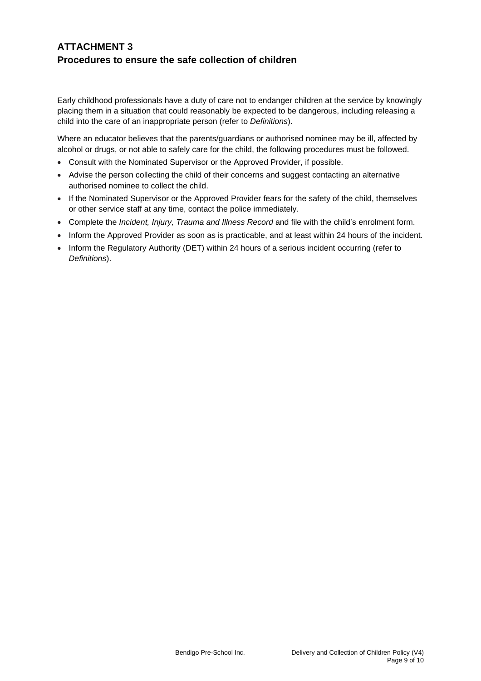## **ATTACHMENT 3 Procedures to ensure the safe collection of children**

Early childhood professionals have a duty of care not to endanger children at the service by knowingly placing them in a situation that could reasonably be expected to be dangerous, including releasing a child into the care of an inappropriate person (refer to *Definitions*).

Where an educator believes that the parents/guardians or authorised nominee may be ill, affected by alcohol or drugs, or not able to safely care for the child, the following procedures must be followed.

- Consult with the Nominated Supervisor or the Approved Provider, if possible.
- Advise the person collecting the child of their concerns and suggest contacting an alternative authorised nominee to collect the child.
- If the Nominated Supervisor or the Approved Provider fears for the safety of the child, themselves or other service staff at any time, contact the police immediately.
- Complete the *Incident, Injury, Trauma and Illness Record* and file with the child's enrolment form.
- Inform the Approved Provider as soon as is practicable, and at least within 24 hours of the incident.
- Inform the Regulatory Authority (DET) within 24 hours of a serious incident occurring (refer to *Definitions*).